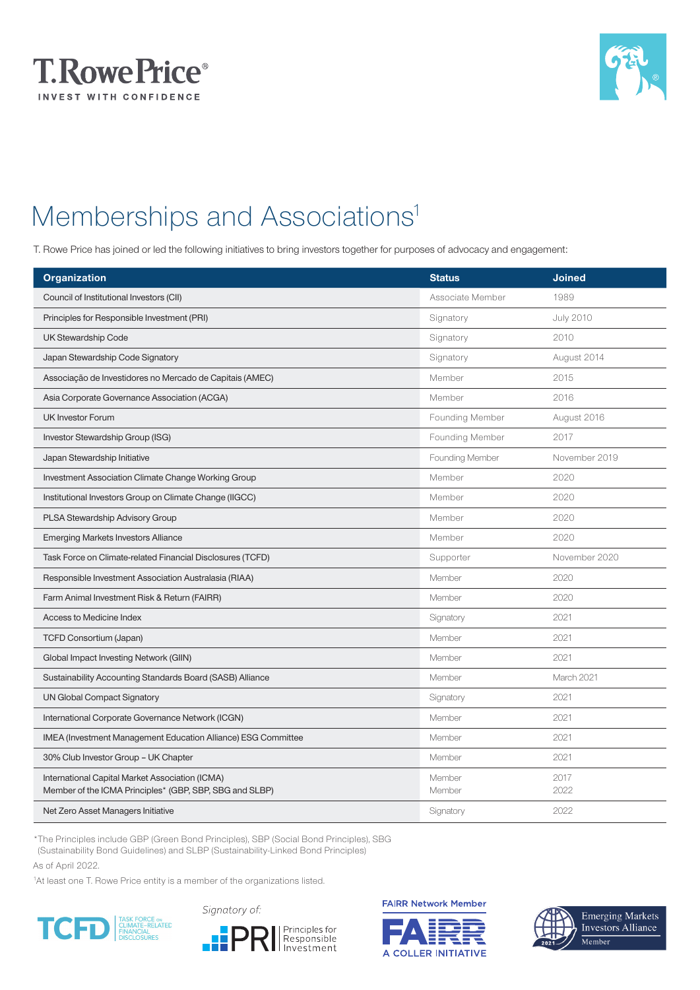



## Memberships and Associations<sup>1</sup>

T. Rowe Price has joined or led the following initiatives to bring investors together for purposes of advocacy and engagement:

| <b>Organization</b>                                                                                        | <b>Status</b>    | <b>Joined</b>    |
|------------------------------------------------------------------------------------------------------------|------------------|------------------|
| Council of Institutional Investors (CII)                                                                   | Associate Member | 1989             |
| Principles for Responsible Investment (PRI)                                                                | Signatory        | <b>July 2010</b> |
| <b>UK Stewardship Code</b>                                                                                 | Signatory        | 2010             |
| Japan Stewardship Code Signatory                                                                           | Signatory        | August 2014      |
| Associação de Investidores no Mercado de Capitais (AMEC)                                                   | Member           | 2015             |
| Asia Corporate Governance Association (ACGA)                                                               | Member           | 2016             |
| <b>UK Investor Forum</b>                                                                                   | Founding Member  | August 2016      |
| Investor Stewardship Group (ISG)                                                                           | Founding Member  | 2017             |
| Japan Stewardship Initiative                                                                               | Founding Member  | November 2019    |
| Investment Association Climate Change Working Group                                                        | Member           | 2020             |
| Institutional Investors Group on Climate Change (IIGCC)                                                    | Member           | 2020             |
| PLSA Stewardship Advisory Group                                                                            | Member           | 2020             |
| <b>Emerging Markets Investors Alliance</b>                                                                 | Member           | 2020             |
| Task Force on Climate-related Financial Disclosures (TCFD)                                                 | Supporter        | November 2020    |
| Responsible Investment Association Australasia (RIAA)                                                      | Member           | 2020             |
| Farm Animal Investment Risk & Return (FAIRR)                                                               | Member           | 2020             |
| Access to Medicine Index                                                                                   | Signatory        | 2021             |
| <b>TCFD Consortium (Japan)</b>                                                                             | Member           | 2021             |
| Global Impact Investing Network (GIIN)                                                                     | Member           | 2021             |
| Sustainability Accounting Standards Board (SASB) Alliance                                                  | Member           | March 2021       |
| <b>UN Global Compact Signatory</b>                                                                         | Signatory        | 2021             |
| International Corporate Governance Network (ICGN)                                                          | Member           | 2021             |
| IMEA (Investment Management Education Alliance) ESG Committee                                              | Member           | 2021             |
| 30% Club Investor Group - UK Chapter                                                                       | Member           | 2021             |
| International Capital Market Association (ICMA)<br>Member of the ICMA Principles* (GBP, SBP, SBG and SLBP) | Member<br>Member | 2017<br>2022     |
| Net Zero Asset Managers Initiative                                                                         | Signatory        | 2022             |

\*The Principles include GBP (Green Bond Principles), SBP (Social Bond Principles), SBG (Sustainability Bond Guidelines) and SLBP (Sustainability-Linked Bond Principles)

As of April 2022.

<sup>1</sup>At least one T. Rowe Price entity is a member of the organizations listed.